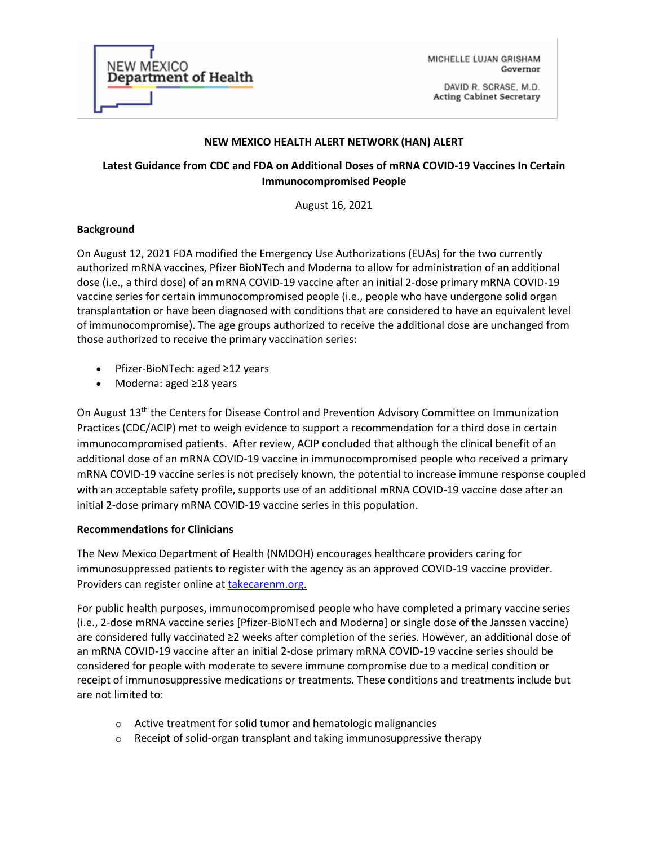

MICHELLE LUJAN GRISHAM Governor

DAVID R. SCRASE, M.D. **Acting Cabinet Secretary** 

#### **NEW MEXICO HEALTH ALERT NETWORK (HAN) ALERT**

# **Latest Guidance from CDC and FDA on Additional Doses of mRNA COVID-19 Vaccines In Certain Immunocompromised People**

August 16, 2021

## **Background**

On August 12, 2021 FDA modified the Emergency Use Authorizations (EUAs) for the two currently authorized mRNA vaccines, Pfizer BioNTech and Moderna to allow for administration of an additional dose (i.e., a third dose) of an mRNA COVID-19 vaccine after an initial 2-dose primary mRNA COVID-19 vaccine series for certain immunocompromised people (i.e., people who have undergone solid organ transplantation or have been diagnosed with conditions that are considered to have an equivalent level of immunocompromise). The age groups authorized to receive the additional dose are unchanged from those authorized to receive the primary vaccination series:

- Pfizer-BioNTech: aged ≥12 years
- Moderna: aged ≥18 years

On August 13<sup>th</sup> the Centers for Disease Control and Prevention Advisory Committee on Immunization Practices (CDC/ACIP) met to weigh evidence to support a recommendation for a third dose in certain immunocompromised patients. After review, ACIP concluded that although the clinical benefit of an additional dose of an mRNA COVID-19 vaccine in immunocompromised people who received a primary mRNA COVID-19 vaccine series is not precisely known, the potential to increase immune response coupled with an acceptable safety profile, supports use of an additional mRNA COVID-19 vaccine dose after an initial 2-dose primary mRNA COVID-19 vaccine series in this population.

## **Recommendations for Clinicians**

The New Mexico Department of Health (NMDOH) encourages healthcare providers caring for immunosuppressed patients to register with the agency as an approved COVID-19 vaccine provider. Providers can register online a[t takecarenm.org.](https://takecarenm.org/take-care-nm/for-providers/)

For public health purposes, immunocompromised people who have completed a primary vaccine series (i.e., 2-dose mRNA vaccine series [Pfizer-BioNTech and Moderna] or single dose of the Janssen vaccine) are considered fully vaccinated ≥2 weeks after completion of the series. However, an additional dose of an mRNA COVID-19 vaccine after an initial 2-dose primary mRNA COVID-19 vaccine series should be considered for people with moderate to severe immune compromise due to a medical condition or receipt of immunosuppressive medications or treatments. These conditions and treatments include but are not limited to:

- o Active treatment for solid tumor and hematologic malignancies
- $\circ$  Receipt of solid-organ transplant and taking immunosuppressive therapy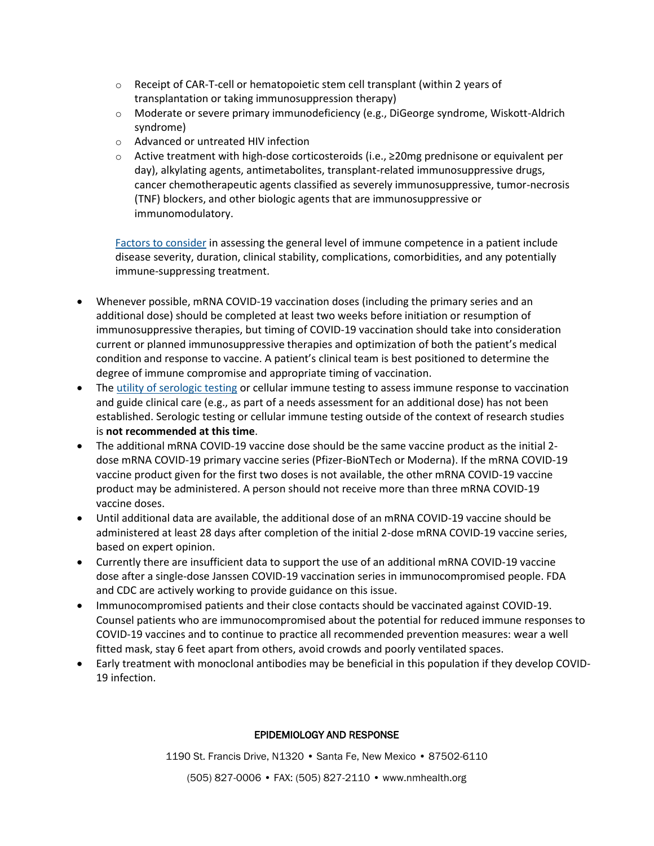- $\circ$  Receipt of CAR-T-cell or hematopoietic stem cell transplant (within 2 years of transplantation or taking immunosuppression therapy)
- o Moderate or severe primary immunodeficiency (e.g., DiGeorge syndrome, Wiskott-Aldrich syndrome)
- o Advanced or untreated HIV infection
- o Active treatment with high-dose corticosteroids (i.e., ≥20mg prednisone or equivalent per day), alkylating agents, antimetabolites, transplant-related immunosuppressive drugs, cancer chemotherapeutic agents classified as severely immunosuppressive, tumor-necrosis (TNF) blockers, and other biologic agents that are immunosuppressive or immunomodulatory.

[Factors to consider](https://wwwnc.cdc.gov/travel/yellowbook/2020/travelers-with-additional-considerations/immunocompromised-travelers) in assessing the general level of immune competence in a patient include disease severity, duration, clinical stability, complications, comorbidities, and any potentially immune-suppressing treatment.

- Whenever possible, mRNA COVID-19 vaccination doses (including the primary series and an additional dose) should be completed at least two weeks before initiation or resumption of immunosuppressive therapies, but timing of COVID-19 vaccination should take into consideration current or planned immunosuppressive therapies and optimization of both the patient's medical condition and response to vaccine. A patient's clinical team is best positioned to determine the degree of immune compromise and appropriate timing of vaccination.
- The [utility of serologic testing](https://www.fda.gov/medical-devices/safety-communications/antibody-testing-not-currently-recommended-assess-immunity-after-covid-19-vaccination-fda-safety) or cellular immune testing to assess immune response to vaccination and guide clinical care (e.g., as part of a needs assessment for an additional dose) has not been established. Serologic testing or cellular immune testing outside of the context of research studies is **not recommended at this time**.
- The additional mRNA COVID-19 vaccine dose should be the same vaccine product as the initial 2 dose mRNA COVID-19 primary vaccine series (Pfizer-BioNTech or Moderna). If the mRNA COVID-19 vaccine product given for the first two doses is not available, the other mRNA COVID-19 vaccine product may be administered. A person should not receive more than three mRNA COVID-19 vaccine doses.
- Until additional data are available, the additional dose of an mRNA COVID-19 vaccine should be administered at least 28 days after completion of the initial 2-dose mRNA COVID-19 vaccine series, based on expert opinion.
- Currently there are insufficient data to support the use of an additional mRNA COVID-19 vaccine dose after a single-dose Janssen COVID-19 vaccination series in immunocompromised people. FDA and CDC are actively working to provide guidance on this issue.
- Immunocompromised patients and their close contacts should be vaccinated against COVID-19. Counsel patients who are immunocompromised about the potential for reduced immune responses to COVID-19 vaccines and to continue to practice all recommended prevention measures: wear a well fitted mask, stay 6 feet apart from others, avoid crowds and poorly ventilated spaces.
- Early treatment with monoclonal antibodies may be beneficial in this population if they develop COVID-19 infection.

## EPIDEMIOLOGY AND RESPONSE

1190 St. Francis Drive, N1320 • Santa Fe, New Mexico • 87502-6110

(505) 827-0006 • FAX: (505) 827-2110 • www.nmhealth.org